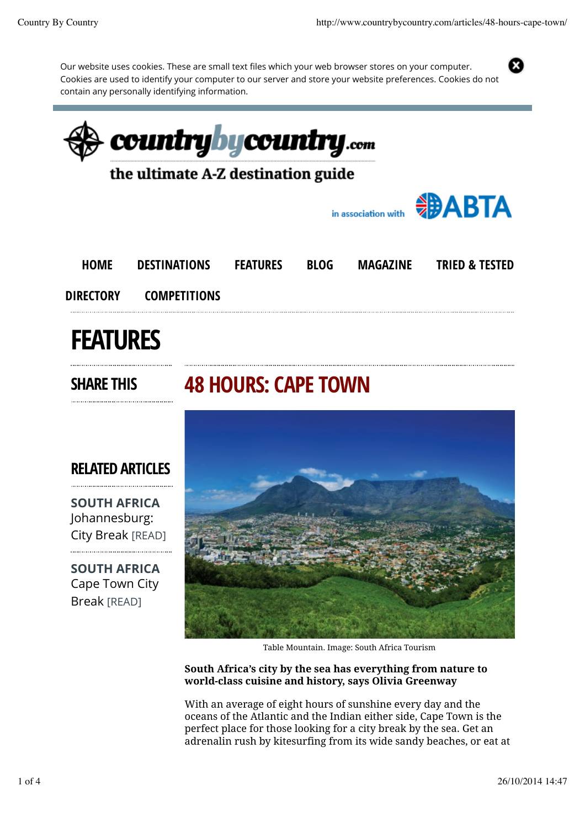Our website uses cookies. These are small text files which your web browser stores on your computer. Cookies are used to identify your computer to our server and store your website preferences. Cookies do not contain any personally identifying information.





Table Mountain. Image: South Africa Tourism

South Africa's city by the sea has everything from nature to world-class cuisine and history, says Olivia Greenway

With an average of eight hours of sunshine every day and the oceans of the Atlantic and the Indian either side, Cape Town is the perfect place for those looking for a city break by the sea. Get an adrenalin rush by kitesurfing from its wide sandy beaches, or eat at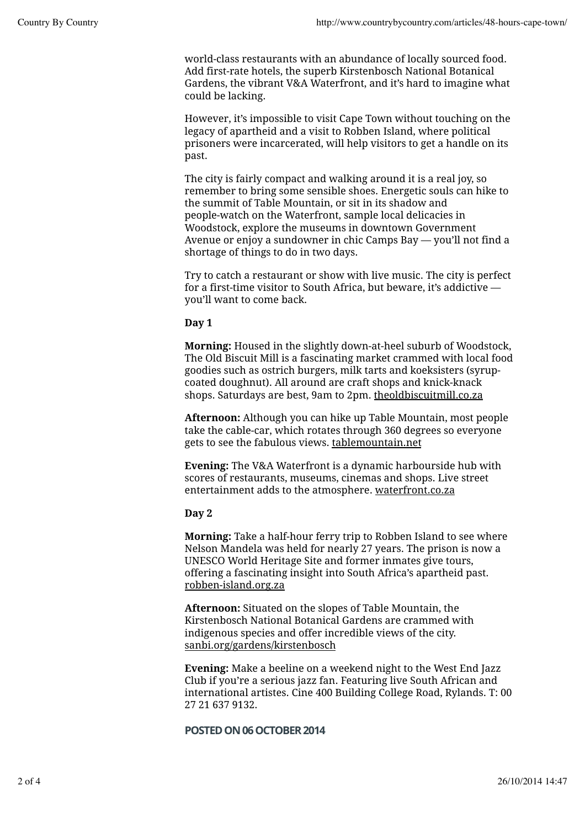world-class restaurants with an abundance of locally sourced food. Add first-rate hotels, the superb Kirstenbosch National Botanical Gardens, the vibrant V&A Waterfront, and it's hard to imagine what could be lacking.

However, it's impossible to visit Cape Town without touching on the legacy of apartheid and a visit to Robben Island, where political prisoners were incarcerated, will help visitors to get a handle on its past.

The city is fairly compact and walking around it is a real joy, so remember to bring some sensible shoes. Energetic souls can hike to the summit of Table Mountain, or sit in its shadow and people-watch on the Waterfront, sample local delicacies in Woodstock, explore the museums in downtown Government Avenue or enjoy a sundowner in chic Camps Bay — you'll not find a shortage of things to do in two days.

Try to catch a restaurant or show with live music. The city is perfect for a first-time visitor to South Africa, but beware, it's addictive you'll want to come back.

### Day 1

Morning: Housed in the slightly down-at-heel suburb of Woodstock, The Old Biscuit Mill is a fascinating market crammed with local food goodies such as ostrich burgers, milk tarts and koeksisters (syrupcoated doughnut). All around are craft shops and knick-knack shops. Saturdays are best, 9am to 2pm. theoldbiscuitmill.co.za

Afternoon: Although you can hike up Table Mountain, most people take the cable-car, which rotates through 360 degrees so everyone gets to see the fabulous views. tablemountain.net

Evening: The V&A Waterfront is a dynamic harbourside hub with scores of restaurants, museums, cinemas and shops. Live street entertainment adds to the atmosphere. waterfront.co.za

### Day 2

Morning: Take a half-hour ferry trip to Robben Island to see where Nelson Mandela was held for nearly 27 years. The prison is now a UNESCO World Heritage Site and former inmates give tours, offering a fascinating insight into South Africa's apartheid past. robben-island.org.za

Afternoon: Situated on the slopes of Table Mountain, the Kirstenbosch National Botanical Gardens are crammed with indigenous species and offer incredible views of the city. sanbi.org/gardens/kirstenbosch

Evening: Make a beeline on a weekend night to the West End Jazz Club if you're a serious jazz fan. Featuring live South African and international artistes. Cine 400 Building College Road, Rylands. T: 00 27 21 637 9132.

### POSTED ON 06 OCTOBER 2014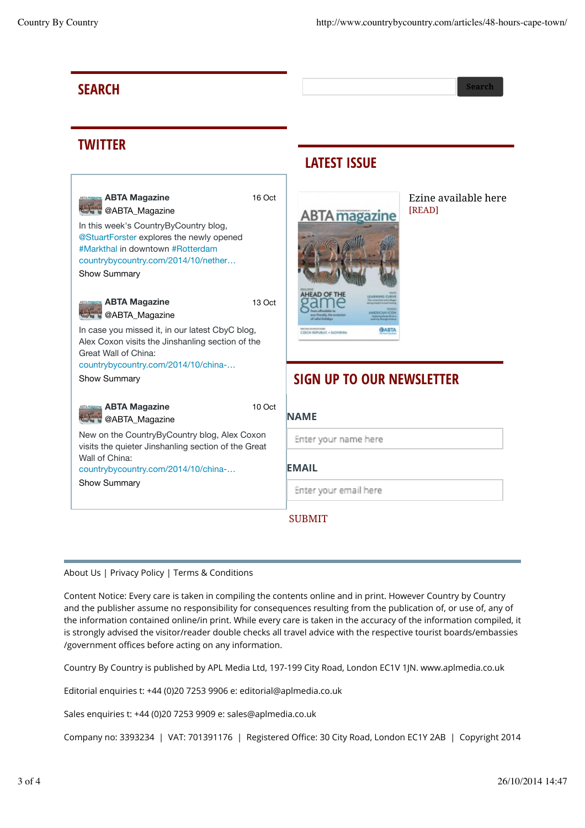## **SEARCH** Search Search Search Search Search Search Search Search Search Search Search Search Search Search Search

# **TWITTER**

In this week's CountryByCountry blog, @StuartForster explores the newly opened #Markthal in downtown #Rotterdam countrybycountry.com/2014/10/nether… **ABTA Magazine @ABTA\_Magazine** Show Summary In case you missed it, in our latest CbyC blog, Alex Coxon visits the Jinshanling section of the Great Wall of China: countrybycountry.com/2014/10/china-… **ABTA Magazine C**@ABTA\_Magazine Show Summary New on the CountryByCountry blog, Alex Coxon visits the quieter Jinshanling section of the Great Wall of China: countrybycountry.com/2014/10/china-… **ABTA Magazine @ABTA\_Magazine** Show Summary 16 Oct 13 Oct 10 Oct

## LATEST ISSUE



Ezine available here [READ]

## SIGN UP TO OUR NEWSLETTER

**NAME** 

Enter your name here

EMAIL

Enter your email here

### SUBMIT

### About Us | Privacy Policy | Terms & Conditions

Content Notice: Every care is taken in compiling the contents online and in print. However Country by Country and the publisher assume no responsibility for consequences resulting from the publication of, or use of, any of the information contained online/in print. While every care is taken in the accuracy of the information compiled, it is strongly advised the visitor/reader double checks all travel advice with the respective tourist boards/embassies /government offices before acting on any information.

Country By Country is published by APL Media Ltd, 197-199 City Road, London EC1V 1JN. www.aplmedia.co.uk

Editorial enquiries t: +44 (0)20 7253 9906 e: editorial@aplmedia.co.uk

Sales enquiries t: +44 (0)20 7253 9909 e: sales@aplmedia.co.uk

Company no: 3393234 | VAT: 701391176 | Registered Office: 30 City Road, London EC1Y 2AB | Copyright 2014